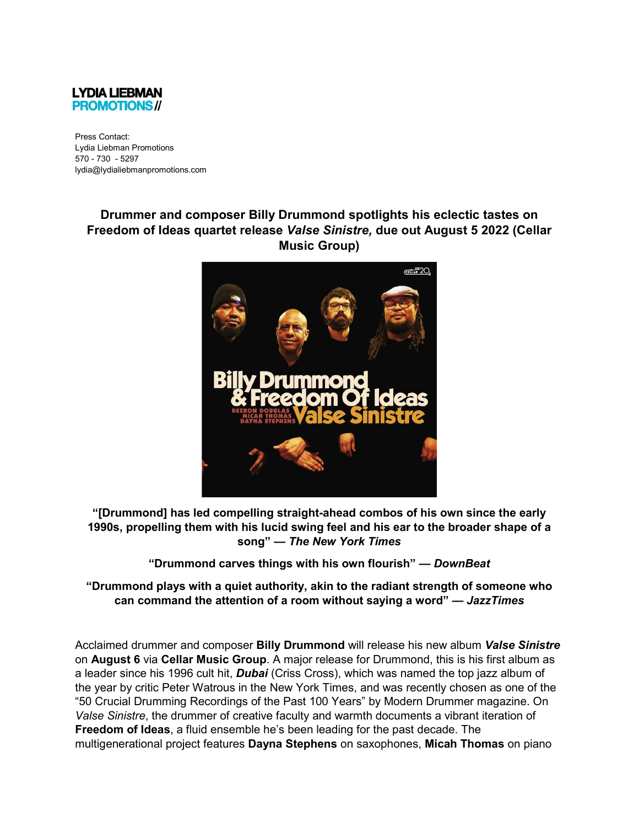

Press Contact: Lydia Liebman Promotions 570 - 730 - 5297 lydia@lydialiebmanpromotions.com

## **Drummer and composer Billy Drummond spotlights his eclectic tastes on Freedom of Ideas quartet release** *Valse Sinistre,* **due out August 5 2022 (Cellar Music Group)**



**"[Drummond] has led compelling straight-ahead combos of his own since the early 1990s, propelling them with his lucid swing feel and his ear to the broader shape of a song" —** *The New York Times* 

**"Drummond carves things with his own flourish" —** *DownBeat*

**"Drummond plays with a quiet authority, akin to the radiant strength of someone who can command the attention of a room without saying a word" —** *JazzTimes*

Acclaimed drummer and composer **Billy Drummond** will release his new album *Valse Sinistre*  on **August 6** via **Cellar Music Group**. A major release for Drummond, this is his first album as a leader since his 1996 cult hit, *Dubai* (Criss Cross), which was named the top jazz album of the year by critic Peter Watrous in the New York Times, and was recently chosen as one of the "50 Crucial Drumming Recordings of the Past 100 Years" by Modern Drummer magazine. On *Valse Sinistre*, the drummer of creative faculty and warmth documents a vibrant iteration of **Freedom of Ideas**, a fluid ensemble he's been leading for the past decade. The multigenerational project features **Dayna Stephens** on saxophones, **Micah Thomas** on piano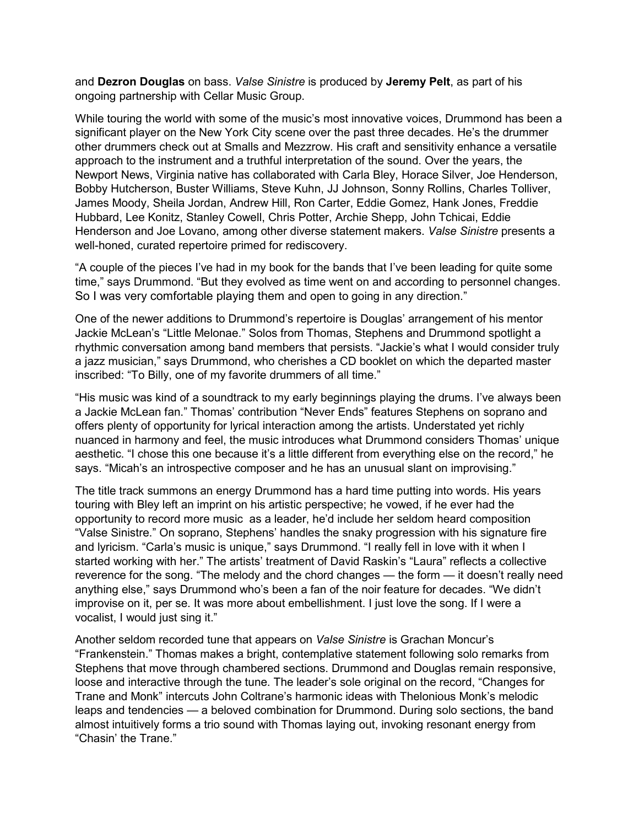and **Dezron Douglas** on bass. *Valse Sinistre* is produced by **Jeremy Pelt**, as part of his ongoing partnership with Cellar Music Group.

While touring the world with some of the music's most innovative voices, Drummond has been a significant player on the New York City scene over the past three decades. He's the drummer other drummers check out at Smalls and Mezzrow. His craft and sensitivity enhance a versatile approach to the instrument and a truthful interpretation of the sound. Over the years, the Newport News, Virginia native has collaborated with Carla Bley, Horace Silver, Joe Henderson, Bobby Hutcherson, Buster Williams, Steve Kuhn, JJ Johnson, Sonny Rollins, Charles Tolliver, James Moody, Sheila Jordan, Andrew Hill, Ron Carter, Eddie Gomez, Hank Jones, Freddie Hubbard, Lee Konitz, Stanley Cowell, Chris Potter, Archie Shepp, John Tchicai, Eddie Henderson and Joe Lovano, among other diverse statement makers. *Valse Sinistre* presents a well-honed, curated repertoire primed for rediscovery.

"A couple of the pieces I've had in my book for the bands that I've been leading for quite some time," says Drummond. "But they evolved as time went on and according to personnel changes. So I was very comfortable playing them and open to going in any direction."

One of the newer additions to Drummond's repertoire is Douglas' arrangement of his mentor Jackie McLean's "Little Melonae." Solos from Thomas, Stephens and Drummond spotlight a rhythmic conversation among band members that persists. "Jackie's what I would consider truly a jazz musician," says Drummond, who cherishes a CD booklet on which the departed master inscribed: "To Billy, one of my favorite drummers of all time."

"His music was kind of a soundtrack to my early beginnings playing the drums. I've always been a Jackie McLean fan." Thomas' contribution "Never Ends" features Stephens on soprano and offers plenty of opportunity for lyrical interaction among the artists. Understated yet richly nuanced in harmony and feel, the music introduces what Drummond considers Thomas' unique aesthetic. "I chose this one because it's a little different from everything else on the record," he says. "Micah's an introspective composer and he has an unusual slant on improvising."

The title track summons an energy Drummond has a hard time putting into words. His years touring with Bley left an imprint on his artistic perspective; he vowed, if he ever had the opportunity to record more music as a leader, he'd include her seldom heard composition "Valse Sinistre." On soprano, Stephens' handles the snaky progression with his signature fire and lyricism. "Carla's music is unique," says Drummond. "I really fell in love with it when I started working with her." The artists' treatment of David Raskin's "Laura" reflects a collective reverence for the song. "The melody and the chord changes — the form — it doesn't really need anything else," says Drummond who's been a fan of the noir feature for decades. "We didn't improvise on it, per se. It was more about embellishment. I just love the song. If I were a vocalist, I would just sing it."

Another seldom recorded tune that appears on *Valse Sinistre* is Grachan Moncur's "Frankenstein." Thomas makes a bright, contemplative statement following solo remarks from Stephens that move through chambered sections. Drummond and Douglas remain responsive, loose and interactive through the tune. The leader's sole original on the record, "Changes for Trane and Monk" intercuts John Coltrane's harmonic ideas with Thelonious Monk's melodic leaps and tendencies — a beloved combination for Drummond. During solo sections, the band almost intuitively forms a trio sound with Thomas laying out, invoking resonant energy from "Chasin' the Trane."